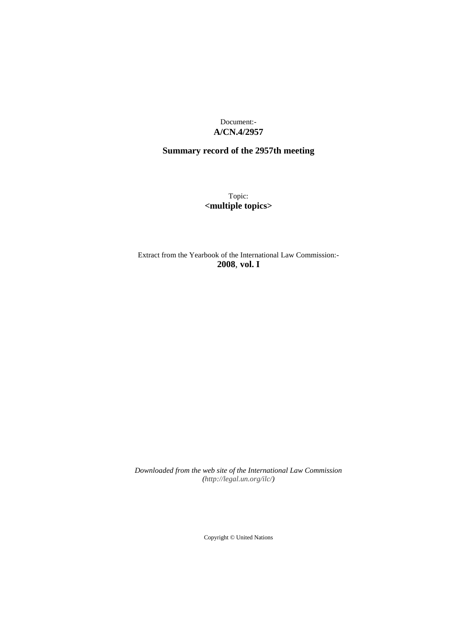Document:- **A/CN.4/2957**

# **Summary record of the 2957th meeting**

Topic: **<multiple topics>**

Extract from the Yearbook of the International Law Commission:- **2008**, **vol. I**

*Downloaded from the web site of the International Law Commission (http://legal.un.org/ilc/)*

Copyright © United Nations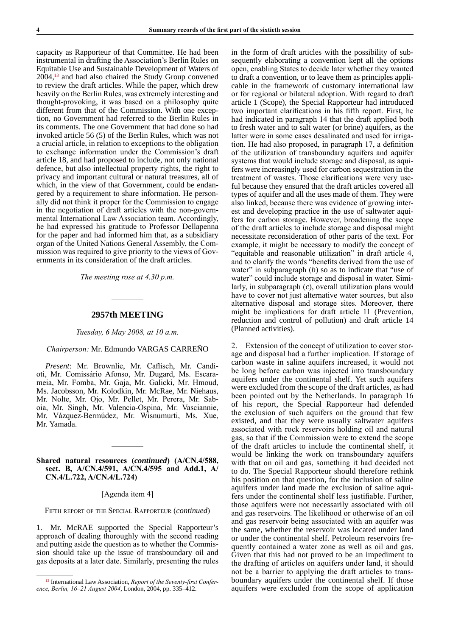capacity as Rapporteur of that Committee. He had been instrumental in drafting the Association's Berlin Rules on Equitable Use and Sustainable Development of Waters of  $2004<sup>13</sup>$  and had also chaired the Study Group convened to review the draft articles. While the paper, which drew heavily on the Berlin Rules, was extremely interesting and thought-provoking, it was based on a philosophy quite different from that of the Commission. With one exception, no Government had referred to the Berlin Rules in its comments. The one Government that had done so had invoked article 56 (5) of the Berlin Rules, which was not a crucial article, in relation to exceptions to the obligation to exchange information under the Commission's draft article 18, and had proposed to include, not only national defence, but also intellectual property rights, the right to privacy and important cultural or natural treasures, all of which, in the view of that Government, could be endangered by a requirement to share information. He personally did not think it proper for the Commission to engage in the negotiation of draft articles with the non-governmental International Law Association team. Accordingly, he had expressed his gratitude to Professor Dellapenna for the paper and had informed him that, as a subsidiary organ of the United Nations General Assembly, the Commission was required to give priority to the views of Governments in its consideration of the draft articles.

*The meeting rose at 4.30 p.m.*

## **2957th MEETING**

*Tuesday, 6 May 2008, at 10 a.m.*

## *Chairperson:* Mr. Edmundo VARGAS CARREÑO

*Present*: Mr. Brownlie, Mr. Caflisch, Mr. Candioti, Mr. Comissário Afonso, Mr. Dugard, Ms. Escarameia, Mr. Fomba, Mr. Gaja, Mr. Galicki, Mr. Hmoud, Ms. Jacobsson, Mr. Kolodkin, Mr. McRae, Mr. Niehaus, Mr. Nolte, Mr. Ojo, Mr. Pellet, Mr. Perera, Mr. Saboia, Mr. Singh, Mr. Valencia-Ospina, Mr. Vasciannie, Mr. Vázquez-Bermúdez, Mr. Wisnumurti, Ms. Xue, Mr. Yamada.

## **Shared natural resources (***continued***) (A/CN.4/588, sect. B, A/CN.4/591, A/CN.4/595 and Add.1, A/ CN.4/L.722, A/CN.4/L.724)**

# [Agenda item 4]

Fifth report of the Special Rapporteur (*continued*)

1. Mr. McRAE supported the Special Rapporteur's approach of dealing thoroughly with the second reading and putting aside the question as to whether the Commission should take up the issue of transboundary oil and gas deposits at a later date. Similarly, presenting the rules

in the form of draft articles with the possibility of subsequently elaborating a convention kept all the options open, enabling States to decide later whether they wanted to draft a convention, or to leave them as principles applicable in the framework of customary international law or for regional or bilateral adoption. With regard to draft article 1 (Scope), the Special Rapporteur had introduced two important clarifications in his fifth report. First, he had indicated in paragraph 14 that the draft applied both to fresh water and to salt water (or brine) aquifers, as the latter were in some cases desalinated and used for irrigation. He had also proposed, in paragraph 17, a definition of the utilization of transboundary aquifers and aquifer systems that would include storage and disposal, as aquifers were increasingly used for carbon sequestration in the treatment of wastes. Those clarifications were very useful because they ensured that the draft articles covered all types of aquifer and all the uses made of them. They were also linked, because there was evidence of growing interest and developing practice in the use of saltwater aquifers for carbon storage. However, broadening the scope of the draft articles to include storage and disposal might necessitate reconsideration of other parts of the text. For example, it might be necessary to modify the concept of "equitable and reasonable utilization" in draft article 4, and to clarify the words "benefits derived from the use of water" in subparagraph (*b*) so as to indicate that "use of water" could include storage and disposal in water. Similarly, in subparagraph (*c*), overall utilization plans would have to cover not just alternative water sources, but also alternative disposal and storage sites. Moreover, there might be implications for draft article 11 (Prevention, reduction and control of pollution) and draft article 14 (Planned activities).

2. Extension of the concept of utilization to cover storage and disposal had a further implication. If storage of carbon waste in saline aquifers increased, it would not be long before carbon was injected into transboundary aquifers under the continental shelf. Yet such aquifers were excluded from the scope of the draft articles, as had been pointed out by the Netherlands. In paragraph 16 of his report, the Special Rapporteur had defended the exclusion of such aquifers on the ground that few existed, and that they were usually saltwater aquifers associated with rock reservoirs holding oil and natural gas, so that if the Commission were to extend the scope of the draft articles to include the continental shelf, it would be linking the work on transboundary aquifers with that on oil and gas, something it had decided not to do. The Special Rapporteur should therefore rethink his position on that question, for the inclusion of saline aquifers under land made the exclusion of saline aquifers under the continental shelf less justifiable. Further, those aquifers were not necessarily associated with oil and gas reservoirs. The likelihood or otherwise of an oil and gas reservoir being associated with an aquifer was the same, whether the reservoir was located under land or under the continental shelf. Petroleum reservoirs frequently contained a water zone as well as oil and gas. Given that this had not proved to be an impediment to the drafting of articles on aquifers under land, it should not be a barrier to applying the draft articles to transboundary aquifers under the continental shelf. If those aquifers were excluded from the scope of application

<sup>13</sup> International Law Association, *Report of the Seventy-first Conference, Berlin, 16–21 August 2004*, London, 2004, pp. 335–412.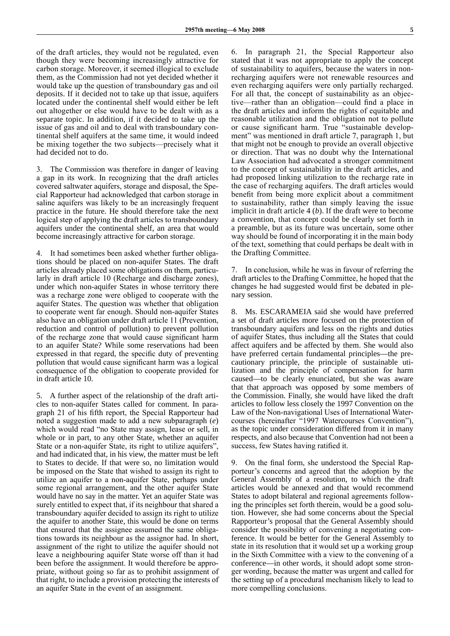of the draft articles, they would not be regulated, even though they were becoming increasingly attractive for carbon storage. Moreover, it seemed illogical to exclude them, as the Commission had not yet decided whether it would take up the question of transboundary gas and oil deposits. If it decided not to take up that issue, aquifers located under the continental shelf would either be left out altogether or else would have to be dealt with as a separate topic. In addition, if it decided to take up the issue of gas and oil and to deal with transboundary continental shelf aquifers at the same time, it would indeed be mixing together the two subjects—precisely what it had decided not to do.

3. The Commission was therefore in danger of leaving a gap in its work. In recognizing that the draft articles covered saltwater aquifers, storage and disposal, the Special Rapporteur had acknowledged that carbon storage in saline aquifers was likely to be an increasingly frequent practice in the future. He should therefore take the next logical step of applying the draft articles to transboundary aquifers under the continental shelf, an area that would become increasingly attractive for carbon storage.

4. It had sometimes been asked whether further obligations should be placed on non-aquifer States. The draft articles already placed some obligations on them, particularly in draft article 10 (Recharge and discharge zones), under which non-aquifer States in whose territory there was a recharge zone were obliged to cooperate with the aquifer States. The question was whether that obligation to cooperate went far enough. Should non-aquifer States also have an obligation under draft article 11 (Prevention, reduction and control of pollution) to prevent pollution of the recharge zone that would cause significant harm to an aquifer State? While some reservations had been expressed in that regard, the specific duty of preventing pollution that would cause significant harm was a logical consequence of the obligation to cooperate provided for in draft article 10.

5. A further aspect of the relationship of the draft articles to non-aquifer States called for comment. In paragraph 21 of his fifth report, the Special Rapporteur had noted a suggestion made to add a new subparagraph (*e*) which would read "no State may assign, lease or sell, in whole or in part, to any other State, whether an aquifer State or a non-aquifer State, its right to utilize aquifers", and had indicated that, in his view, the matter must be left to States to decide. If that were so, no limitation would be imposed on the State that wished to assign its right to utilize an aquifer to a non-aquifer State, perhaps under some regional arrangement, and the other aquifer State would have no say in the matter. Yet an aquifer State was surely entitled to expect that, if its neighbour that shared a transboundary aquifer decided to assign its right to utilize the aquifer to another State, this would be done on terms that ensured that the assignee assumed the same obligations towards its neighbour as the assignor had. In short, assignment of the right to utilize the aquifer should not leave a neighbouring aquifer State worse off than it had been before the assignment. It would therefore be appropriate, without going so far as to prohibit assignment of that right, to include a provision protecting the interests of an aquifer State in the event of an assignment.

6. In paragraph 21, the Special Rapporteur also stated that it was not appropriate to apply the concept of sustainability to aquifers, because the waters in nonrecharging aquifers were not renewable resources and even recharging aquifers were only partially recharged. For all that, the concept of sustainability as an objective—rather than an obligation—could find a place in the draft articles and inform the rights of equitable and reasonable utilization and the obligation not to pollute or cause significant harm. True "sustainable development" was mentioned in draft article 7, paragraph 1, but that might not be enough to provide an overall objective or direction. That was no doubt why the International Law Association had advocated a stronger commitment to the concept of sustainability in the draft articles, and had proposed linking utilization to the recharge rate in the case of recharging aquifers. The draft articles would benefit from being more explicit about a commitment to sustainability, rather than simply leaving the issue implicit in draft article 4 (*b*). If the draft were to become a convention, that concept could be clearly set forth in a preamble, but as its future was uncertain, some other way should be found of incorporating it in the main body of the text, something that could perhaps be dealt with in the Drafting Committee.

7. In conclusion, while he was in favour of referring the draft articles to the Drafting Committee, he hoped that the changes he had suggested would first be debated in plenary session.

8. Ms. ESCARAMEIA said she would have preferred a set of draft articles more focused on the protection of transboundary aquifers and less on the rights and duties of aquifer States, thus including all the States that could affect aquifers and be affected by them. She would also have preferred certain fundamental principles—the precautionary principle, the principle of sustainable utilization and the principle of compensation for harm caused—to be clearly enunciated, but she was aware that that approach was opposed by some members of the Commission. Finally, she would have liked the draft articles to follow less closely the 1997 Convention on the Law of the Non-navigational Uses of International Watercourses (hereinafter "1997 Watercourses Convention"), as the topic under consideration differed from it in many respects, and also because that Convention had not been a success, few States having ratified it.

9. On the final form, she understood the Special Rapporteur's concerns and agreed that the adoption by the General Assembly of a resolution, to which the draft articles would be annexed and that would recommend States to adopt bilateral and regional agreements following the principles set forth therein, would be a good solution. However, she had some concerns about the Special Rapporteur's proposal that the General Assembly should consider the possibility of convening a negotiating conference. It would be better for the General Assembly to state in its resolution that it would set up a working group in the Sixth Committee with a view to the convening of a conference—in other words, it should adopt some stronger wording, because the matter was urgent and called for the setting up of a procedural mechanism likely to lead to more compelling conclusions.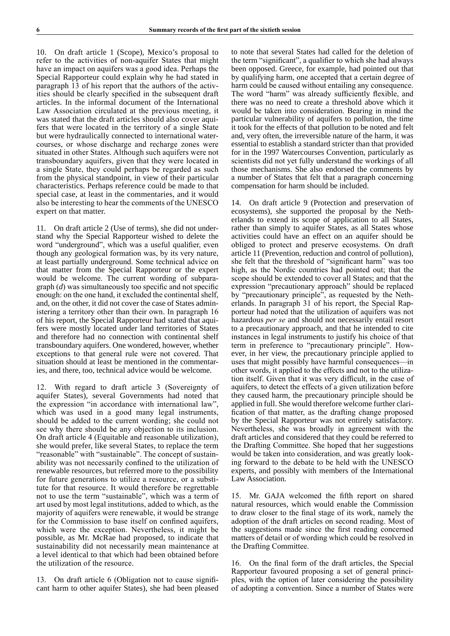10. On draft article 1 (Scope), Mexico's proposal to refer to the activities of non-aquifer States that might have an impact on aquifers was a good idea. Perhaps the Special Rapporteur could explain why he had stated in paragraph 13 of his report that the authors of the activities should be clearly specified in the subsequent draft articles. In the informal document of the International Law Association circulated at the previous meeting, it was stated that the draft articles should also cover aquifers that were located in the territory of a single State but were hydraulically connected to international watercourses, or whose discharge and recharge zones were situated in other States. Although such aquifers were not transboundary aquifers, given that they were located in a single State, they could perhaps be regarded as such from the physical standpoint, in view of their particular characteristics. Perhaps reference could be made to that special case, at least in the commentaries, and it would also be interesting to hear the comments of the UNESCO expert on that matter.

11. On draft article 2 (Use of terms), she did not understand why the Special Rapporteur wished to delete the word "underground", which was a useful qualifier, even though any geological formation was, by its very nature, at least partially underground. Some technical advice on that matter from the Special Rapporteur or the expert would be welcome. The current wording of subparagraph (*d*) was simultaneously too specific and not specific enough: on the one hand, it excluded the continental shelf, and, on the other, it did not cover the case of States administering a territory other than their own. In paragraph 16 of his report, the Special Rapporteur had stated that aquifers were mostly located under land territories of States and therefore had no connection with continental shelf transboundary aquifers. One wondered, however, whether exceptions to that general rule were not covered. That situation should at least be mentioned in the commentaries, and there, too, technical advice would be welcome.

12. With regard to draft article 3 (Sovereignty of aquifer States), several Governments had noted that the expression "in accordance with international law", which was used in a good many legal instruments, should be added to the current wording; she could not see why there should be any objection to its inclusion. On draft article 4 (Equitable and reasonable utilization), she would prefer, like several States, to replace the term "reasonable" with "sustainable". The concept of sustainability was not necessarily confined to the utilization of renewable resources, but referred more to the possibility for future generations to utilize a resource, or a substitute for that resource. It would therefore be regrettable not to use the term "sustainable", which was a term of art used by most legal institutions, added to which, as the majority of aquifers were renewable, it would be strange for the Commission to base itself on confined aquifers, which were the exception. Nevertheless, it might be possible, as Mr. McRae had proposed, to indicate that sustainability did not necessarily mean maintenance at a level identical to that which had been obtained before the utilization of the resource.

13. On draft article 6 (Obligation not to cause significant harm to other aquifer States), she had been pleased to note that several States had called for the deletion of the term "significant", a qualifier to which she had always been opposed. Greece, for example, had pointed out that by qualifying harm, one accepted that a certain degree of harm could be caused without entailing any consequence. The word "harm" was already sufficiently flexible, and there was no need to create a threshold above which it would be taken into consideration. Bearing in mind the particular vulnerability of aquifers to pollution, the time it took for the effects of that pollution to be noted and felt and, very often, the irreversible nature of the harm, it was essential to establish a standard stricter than that provided for in the 1997 Watercourses Convention, particularly as scientists did not yet fully understand the workings of all those mechanisms. She also endorsed the comments by a number of States that felt that a paragraph concerning compensation for harm should be included.

14. On draft article 9 (Protection and preservation of ecosystems), she supported the proposal by the Netherlands to extend its scope of application to all States, rather than simply to aquifer States, as all States whose activities could have an effect on an aquifer should be obliged to protect and preserve ecosystems. On draft article 11 (Prevention, reduction and control of pollution), she felt that the threshold of "significant harm" was too high, as the Nordic countries had pointed out; that the scope should be extended to cover all States; and that the expression "precautionary approach" should be replaced by "precautionary principle", as requested by the Netherlands. In paragraph 31 of his report, the Special Rapporteur had noted that the utilization of aquifers was not hazardous *per se* and should not necessarily entail resort to a precautionary approach, and that he intended to cite instances in legal instruments to justify his choice of that term in preference to "precautionary principle". However, in her view, the precautionary principle applied to uses that might possibly have harmful consequences—in other words, it applied to the effects and not to the utilization itself. Given that it was very difficult, in the case of aquifers, to detect the effects of a given utilization before they caused harm, the precautionary principle should be applied in full. She would therefore welcome further clarification of that matter, as the drafting change proposed by the Special Rapporteur was not entirely satisfactory. Nevertheless, she was broadly in agreement with the draft articles and considered that they could be referred to the Drafting Committee. She hoped that her suggestions would be taken into consideration, and was greatly looking forward to the debate to be held with the UNESCO experts, and possibly with members of the International Law Association.

15. Mr. GAJA welcomed the fifth report on shared natural resources, which would enable the Commission to draw closer to the final stage of its work, namely the adoption of the draft articles on second reading. Most of the suggestions made since the first reading concerned matters of detail or of wording which could be resolved in the Drafting Committee.

16. On the final form of the draft articles, the Special Rapporteur favoured proposing a set of general principles, with the option of later considering the possibility of adopting a convention. Since a number of States were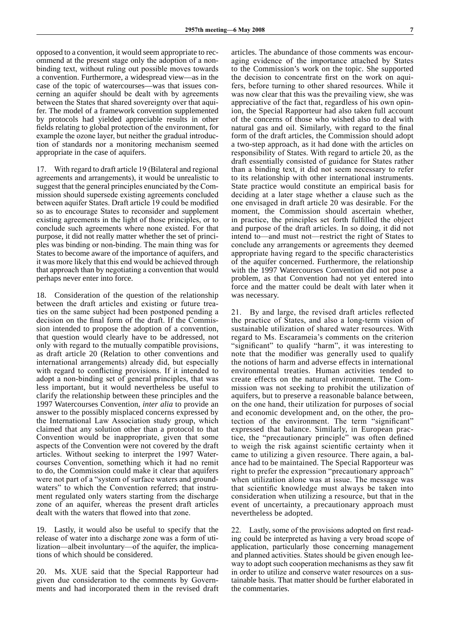opposed to a convention, it would seem appropriate to recommend at the present stage only the adoption of a nonbinding text, without ruling out possible moves towards a convention. Furthermore, a widespread view—as in the case of the topic of watercourses—was that issues concerning an aquifer should be dealt with by agreements between the States that shared sovereignty over that aquifer. The model of a framework convention supplemented by protocols had yielded appreciable results in other fields relating to global protection of the environment, for example the ozone layer, but neither the gradual introduction of standards nor a monitoring mechanism seemed appropriate in the case of aquifers.

17. With regard to draft article 19 (Bilateral and regional agreements and arrangements), it would be unrealistic to suggest that the general principles enunciated by the Commission should supersede existing agreements concluded between aquifer States. Draft article 19 could be modified so as to encourage States to reconsider and supplement existing agreements in the light of those principles, or to conclude such agreements where none existed. For that purpose, it did not really matter whether the set of principles was binding or non-binding. The main thing was for States to become aware of the importance of aquifers, and it was more likely that this end would be achieved through that approach than by negotiating a convention that would perhaps never enter into force.

18. Consideration of the question of the relationship between the draft articles and existing or future treaties on the same subject had been postponed pending a decision on the final form of the draft. If the Commission intended to propose the adoption of a convention, that question would clearly have to be addressed, not only with regard to the mutually compatible provisions, as draft article 20 (Relation to other conventions and international arrangements) already did, but especially with regard to conflicting provisions. If it intended to adopt a non-binding set of general principles, that was less important, but it would nevertheless be useful to clarify the relationship between these principles and the 1997 Watercourses Convention, *inter alia* to provide an answer to the possibly misplaced concerns expressed by the International Law Association study group, which claimed that any solution other than a protocol to that Convention would be inappropriate, given that some aspects of the Convention were not covered by the draft articles. Without seeking to interpret the 1997 Watercourses Convention, something which it had no remit to do, the Commission could make it clear that aquifers were not part of a "system of surface waters and groundwaters" to which the Convention referred; that instrument regulated only waters starting from the discharge zone of an aquifer, whereas the present draft articles dealt with the waters that flowed into that zone.

19. Lastly, it would also be useful to specify that the release of water into a discharge zone was a form of utilization—albeit involuntary—of the aquifer, the implications of which should be considered.

20. Ms. XUE said that the Special Rapporteur had given due consideration to the comments by Governments and had incorporated them in the revised draft articles. The abundance of those comments was encouraging evidence of the importance attached by States to the Commission's work on the topic. She supported the decision to concentrate first on the work on aquifers, before turning to other shared resources. While it was now clear that this was the prevailing view, she was appreciative of the fact that, regardless of his own opinion, the Special Rapporteur had also taken full account of the concerns of those who wished also to deal with natural gas and oil. Similarly, with regard to the final form of the draft articles, the Commission should adopt a two-step approach, as it had done with the articles on responsibility of States. With regard to article 20, as the draft essentially consisted of guidance for States rather than a binding text, it did not seem necessary to refer to its relationship with other international instruments. State practice would constitute an empirical basis for deciding at a later stage whether a clause such as the one envisaged in draft article 20 was desirable. For the moment, the Commission should ascertain whether, in practice, the principles set forth fulfilled the object and purpose of the draft articles. In so doing, it did not intend to—and must not—restrict the right of States to conclude any arrangements or agreements they deemed appropriate having regard to the specific characteristics of the aquifer concerned. Furthermore, the relationship with the 1997 Watercourses Convention did not pose a problem, as that Convention had not yet entered into force and the matter could be dealt with later when it was necessary.

21. By and large, the revised draft articles reflected the practice of States, and also a long-term vision of sustainable utilization of shared water resources. With regard to Ms. Escarameia's comments on the criterion "significant" to qualify "harm", it was interesting to note that the modifier was generally used to qualify the notions of harm and adverse effects in international environmental treaties. Human activities tended to create effects on the natural environment. The Commission was not seeking to prohibit the utilization of aquifers, but to preserve a reasonable balance between, on the one hand, their utilization for purposes of social and economic development and, on the other, the protection of the environment. The term "significant" expressed that balance. Similarly, in European practice, the "precautionary principle" was often defined to weigh the risk against scientific certainty when it came to utilizing a given resource. There again, a balance had to be maintained. The Special Rapporteur was right to prefer the expression "precautionary approach" when utilization alone was at issue. The message was that scientific knowledge must always be taken into consideration when utilizing a resource, but that in the event of uncertainty, a precautionary approach must nevertheless be adopted.

22. Lastly, some of the provisions adopted on first reading could be interpreted as having a very broad scope of application, particularly those concerning management and planned activities. States should be given enough leeway to adopt such cooperation mechanisms as they saw fit in order to utilize and conserve water resources on a sustainable basis. That matter should be further elaborated in the commentaries.